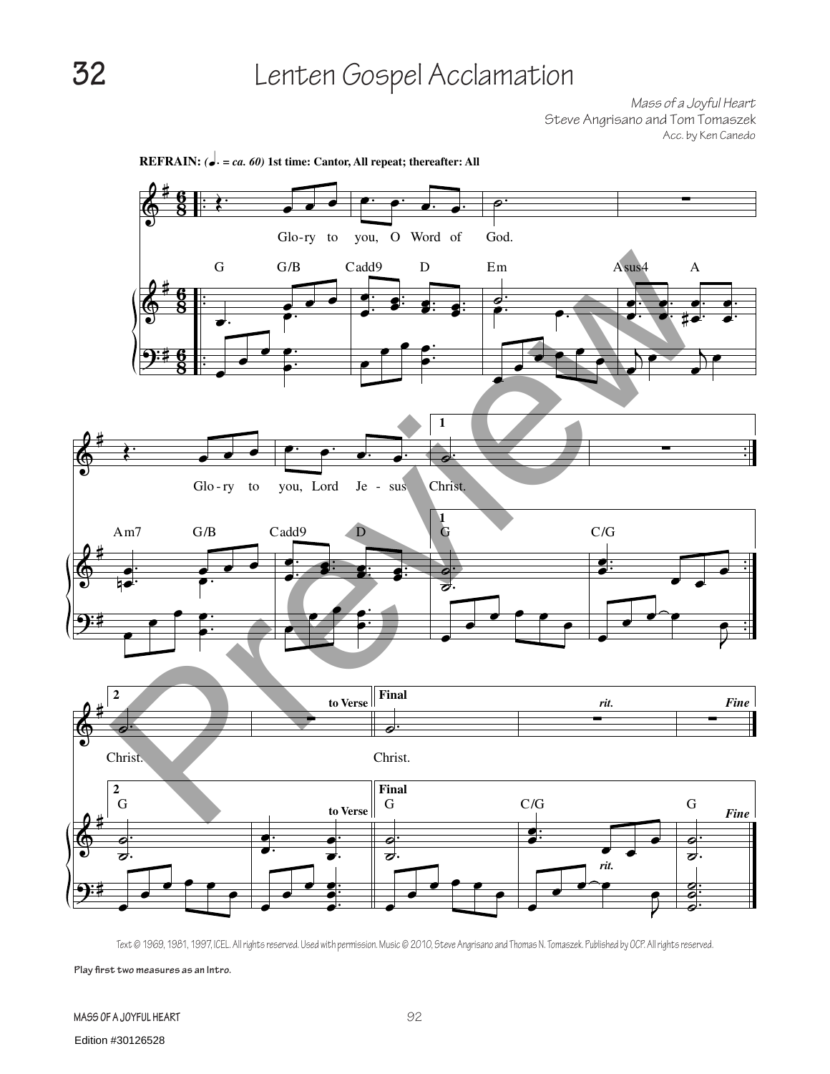*Mass of a Joyful Heart* Steve Angrisano and Tom Tomaszek Acc. by Ken Canedo



Text © 1969, 1981, 1997, ICEL. All rights reserved. Used with permission. Music © 2010, Steve Angrisano and Thomas N. Tomaszek. Published by OCP. All rights reserved.

**Play first two measures as an Intro.**

**Mass of a Joyful Heart**